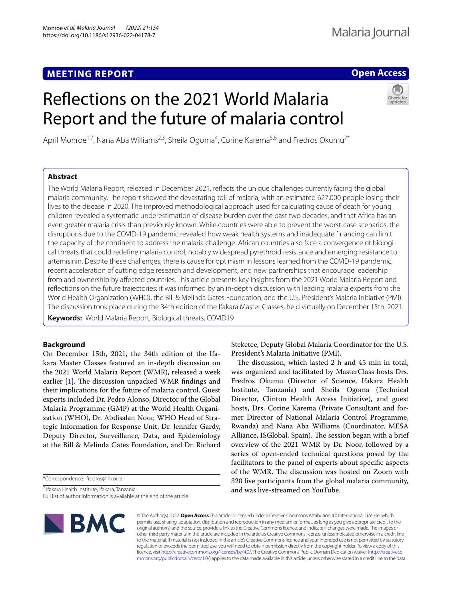# **MEETING REPORT**

# **Open Access**

# Refections on the 2021 World Malaria Report and the future of malaria control



April Monroe<sup>1,7</sup>, Nana Aba Williams<sup>2,3</sup>, Sheila Ogoma<sup>4</sup>, Corine Karema<sup>5,6</sup> and Fredros Okumu<sup>7\*</sup>

# **Abstract**

The World Malaria Report, released in December 2021, refects the unique challenges currently facing the global malaria community. The report showed the devastating toll of malaria, with an estimated 627,000 people losing their lives to the disease in 2020. The improved methodological approach used for calculating cause of death for young children revealed a systematic underestimation of disease burden over the past two decades; and that Africa has an even greater malaria crisis than previously known. While countries were able to prevent the worst-case scenarios, the disruptions due to the COVID-19 pandemic revealed how weak health systems and inadequate fnancing can limit the capacity of the continent to address the malaria challenge. African countries also face a convergence of biological threats that could redefne malaria control, notably widespread pyrethroid resistance and emerging resistance to artemisinin. Despite these challenges, there is cause for optimism in lessons learned from the COVID-19 pandemic, recent acceleration of cutting edge research and development, and new partnerships that encourage leadership from and ownership by afected countries. This article presents key insights from the 2021 World Malaria Report and refections on the future trajectories: it was informed by an in-depth discussion with leading malaria experts from the World Health Organization (WHO), the Bill & Melinda Gates Foundation, and the U.S. President's Malaria Initiative (PMI). The discussion took place during the 34th edition of the Ifakara Master Classes, held virtually on December 15th, 2021.

**Keywords:** World Malaria Report, Biological threats, COVID19

# **Background**

On December 15th, 2021, the 34th edition of the Ifakara Master Classes featured an in-depth discussion on the 2021 World Malaria Report (WMR), released a week earlier  $[1]$  $[1]$ . The discussion unpacked WMR findings and their implications for the future of malaria control. Guest experts included Dr. Pedro Alonso, Director of the Global Malaria Programme (GMP) at the World Health Organization (WHO), Dr. Abdisalan Noor, WHO Head of Strategic Information for Response Unit, Dr. Jennifer Gardy, Deputy Director, Surveillance, Data, and Epidemiology at the Bill & Melinda Gates Foundation, and Dr. Richard

\*Correspondence: fredros@ihi.or.tz

7 Ifakara Health Institute, Ifakara, Tanzania

Full list of author information is available at the end of the article



Steketee, Deputy Global Malaria Coordinator for the U.S. President's Malaria Initiative (PMI).

The discussion, which lasted 2 h and 45 min in total, was organized and facilitated by MasterClass hosts Drs. Fredros Okumu (Director of Science, Ifakara Health Institute, Tanzania) and Sheila Ogoma (Technical Director, Clinton Health Access Initiative), and guest hosts, Drs. Corine Karema (Private Consultant and former Director of National Malaria Control Programme, Rwanda) and Nana Aba Williams (Coordinator, MESA Alliance, ISGlobal, Spain). The session began with a brief overview of the 2021 WMR by Dr. Noor, followed by a series of open-ended technical questions posed by the facilitators to the panel of experts about specifc aspects of the WMR. The discussion was hosted on Zoom with 320 live participants from the global malaria community, and was live-streamed on YouTube.

© The Author(s) 2022. **Open Access** This article is licensed under a Creative Commons Attribution 4.0 International License, which permits use, sharing, adaptation, distribution and reproduction in any medium or format, as long as you give appropriate credit to the original author(s) and the source, provide a link to the Creative Commons licence, and indicate if changes were made. The images or other third party material in this article are included in the article's Creative Commons licence, unless indicated otherwise in a credit line to the material. If material is not included in the article's Creative Commons licence and your intended use is not permitted by statutory regulation or exceeds the permitted use, you will need to obtain permission directly from the copyright holder. To view a copy of this licence, visit [http://creativecommons.org/licenses/by/4.0/.](http://creativecommons.org/licenses/by/4.0/) The Creative Commons Public Domain Dedication waiver ([http://creativeco](http://creativecommons.org/publicdomain/zero/1.0/) [mmons.org/publicdomain/zero/1.0/](http://creativecommons.org/publicdomain/zero/1.0/)) applies to the data made available in this article, unless otherwise stated in a credit line to the data.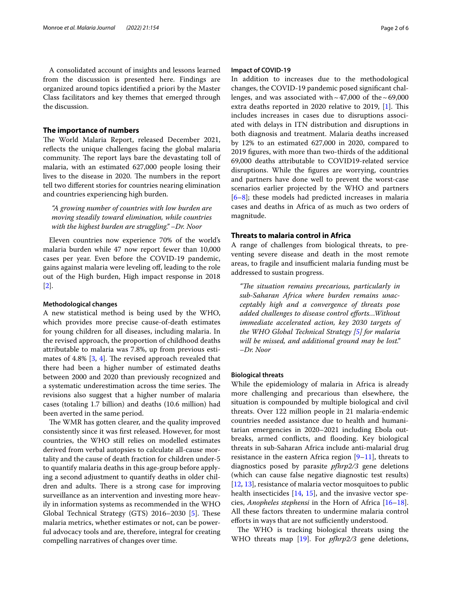A consolidated account of insights and lessons learned from the discussion is presented here. Findings are organized around topics identifed a priori by the Master Class facilitators and key themes that emerged through the discussion.

# **The importance of numbers**

The World Malaria Report, released December 2021, refects the unique challenges facing the global malaria community. The report lays bare the devastating toll of malaria, with an estimated 627,000 people losing their lives to the disease in 2020. The numbers in the report tell two diferent stories for countries nearing elimination and countries experiencing high burden.

*"A growing number of countries with low burden are moving steadily toward elimination, while countries with the highest burden are struggling." –Dr. Noor*

Eleven countries now experience 70% of the world's malaria burden while 47 now report fewer than 10,000 cases per year. Even before the COVID-19 pandemic, gains against malaria were leveling off, leading to the role out of the High burden, High impact response in 2018 [[2\]](#page-4-1).

## **Methodological changes**

A new statistical method is being used by the WHO, which provides more precise cause-of-death estimates for young children for all diseases, including malaria. In the revised approach, the proportion of childhood deaths attributable to malaria was 7.8%, up from previous estimates of  $4.8\%$  [[3](#page-4-2), [4\]](#page-4-3). The revised approach revealed that there had been a higher number of estimated deaths between 2000 and 2020 than previously recognized and a systematic underestimation across the time series. The revisions also suggest that a higher number of malaria cases (totaling 1.7 billion) and deaths (10.6 million) had been averted in the same period.

The WMR has gotten clearer, and the quality improved consistently since it was frst released. However, for most countries, the WHO still relies on modelled estimates derived from verbal autopsies to calculate all-cause mortality and the cause of death fraction for children under-5 to quantify malaria deaths in this age-group before applying a second adjustment to quantify deaths in older children and adults. There is a strong case for improving surveillance as an intervention and investing more heavily in information systems as recommended in the WHO Global Technical Strategy (GTS) 2016–2030 [\[5](#page-4-4)]. These malaria metrics, whether estimates or not, can be powerful advocacy tools and are, therefore, integral for creating compelling narratives of changes over time.

# **Impact of COVID‑19**

In addition to increases due to the methodological changes, the COVID-19 pandemic posed signifcant challenges, and was associated with  $\sim$  47,000 of the  $\sim$  69,000 extra deaths reported in 2020 relative to 2019, [\[1](#page-4-0)]. This includes increases in cases due to disruptions associated with delays in ITN distribution and disruptions in both diagnosis and treatment. Malaria deaths increased by 12% to an estimated 627,000 in 2020, compared to 2019 fgures, with more than two-thirds of the additional 69,000 deaths attributable to COVID19-related service disruptions. While the fgures are worrying, countries and partners have done well to prevent the worst-case scenarios earlier projected by the WHO and partners [[6–](#page-4-5)[8\]](#page-4-6); these models had predicted increases in malaria cases and deaths in Africa of as much as two orders of magnitude.

# **Threats to malaria control in Africa**

A range of challenges from biological threats, to preventing severe disease and death in the most remote areas, to fragile and insufficient malaria funding must be addressed to sustain progress.

*"Te situation remains precarious, particularly in sub-Saharan Africa where burden remains unacceptably high and a convergence of threats pose added challenges to disease control eforts…Without immediate accelerated action, key 2030 targets of the WHO Global Technical Strategy [\[5](#page-4-4)] for malaria will be missed, and additional ground may be lost." –Dr. Noor*

# **Biological threats**

While the epidemiology of malaria in Africa is already more challenging and precarious than elsewhere, the situation is compounded by multiple biological and civil threats. Over 122 million people in 21 malaria-endemic countries needed assistance due to health and humanitarian emergencies in 2020–2021 including Ebola outbreaks, armed conflicts, and flooding. Key biological threats in sub-Saharan Africa include anti-malarial drug resistance in the eastern Africa region  $[9-11]$  $[9-11]$  $[9-11]$ , threats to diagnostics posed by parasite *pfhrp2/3* gene deletions (which can cause false negative diagnostic test results) [[12,](#page-4-9) [13\]](#page-4-10), resistance of malaria vector mosquitoes to public health insecticides [[14,](#page-4-11) [15\]](#page-4-12), and the invasive vector species, *Anopheles stephensi* in the Horn of Africa [[16](#page-4-13)[–18](#page-4-14)]. All these factors threaten to undermine malaria control efforts in ways that are not sufficiently understood.

The WHO is tracking biological threats using the WHO threats map [[19\]](#page-4-15). For *pfhrp2/3* gene deletions,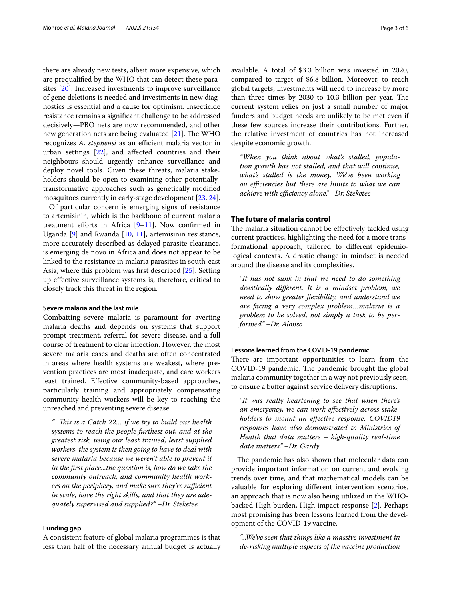there are already new tests, albeit more expensive, which are prequalifed by the WHO that can detect these parasites [[20\]](#page-4-16). Increased investments to improve surveillance of gene deletions is needed and investments in new diagnostics is essential and a cause for optimism. Insecticide resistance remains a signifcant challenge to be addressed decisively—PBO nets are now recommended, and other new generation nets are being evaluated  $[21]$  $[21]$ . The WHO recognizes *A. stephensi* as an efficient malaria vector in urban settings [[22\]](#page-4-18), and afected countries and their neighbours should urgently enhance surveillance and deploy novel tools. Given these threats, malaria stakeholders should be open to examining other potentiallytransformative approaches such as genetically modifed mosquitoes currently in early-stage development [[23,](#page-4-19) [24](#page-4-20)].

Of particular concern is emerging signs of resistance to artemisinin, which is the backbone of current malaria treatment efforts in Africa  $[9-11]$  $[9-11]$  $[9-11]$ . Now confirmed in Uganda [[9\]](#page-4-7) and Rwanda [[10,](#page-4-21) [11\]](#page-4-8), artemisinin resistance, more accurately described as delayed parasite clearance, is emerging de novo in Africa and does not appear to be linked to the resistance in malaria parasites in south-east Asia, where this problem was frst described [[25\]](#page-4-22). Setting up efective surveillance systems is, therefore, critical to closely track this threat in the region.

# **Severe malaria and the last mile**

Combatting severe malaria is paramount for averting malaria deaths and depends on systems that support prompt treatment, referral for severe disease, and a full course of treatment to clear infection. However, the most severe malaria cases and deaths are often concentrated in areas where health systems are weakest, where prevention practices are most inadequate, and care workers least trained. Efective community-based approaches, particularly training and appropriately compensating community health workers will be key to reaching the unreached and preventing severe disease.

*"…Tis is a Catch 22… if we try to build our health systems to reach the people furthest out, and at the greatest risk, using our least trained, least supplied workers, the system is then going to have to deal with severe malaria because we weren't able to prevent it in the frst place...the question is, how do we take the community outreach, and community health workers on the periphery, and make sure they're sufficient in scale, have the right skills, and that they are adequately supervised and supplied?" –Dr. Steketee*

# **Funding gap**

A consistent feature of global malaria programmes is that less than half of the necessary annual budget is actually available. A total of \$3.3 billion was invested in 2020, compared to target of \$6.8 billion. Moreover, to reach global targets, investments will need to increase by more than three times by  $2030$  to  $10.3$  billion per year. The current system relies on just a small number of major funders and budget needs are unlikely to be met even if these few sources increase their contributions. Further, the relative investment of countries has not increased despite economic growth.

*"When you think about what's stalled, population growth has not stalled, and that will continue, what's stalled is the money. We've been working on efficiencies but there are limits to what we can achieve with efficiency alone." -Dr. Steketee* 

# **The future of malaria control**

The malaria situation cannot be effectively tackled using current practices, highlighting the need for a more transformational approach, tailored to diferent epidemiological contexts. A drastic change in mindset is needed around the disease and its complexities.

*"It has not sunk in that we need to do something drastically diferent. It is a mindset problem, we need to show greater fexibility, and understand we are facing a very complex problem…malaria is a problem to be solved, not simply a task to be performed." –Dr. Alonso*

#### **Lessons learned from the COVID‑19 pandemic**

There are important opportunities to learn from the COVID-19 pandemic. The pandemic brought the global malaria community together in a way not previously seen, to ensure a bufer against service delivery disruptions.

*"It was really heartening to see that when there's an emergency, we can work efectively across stakeholders to mount an efective response. COVID19 responses have also demonstrated to Ministries of Health that data matters – high-quality real-time data matters." –Dr. Gardy*

The pandemic has also shown that molecular data can provide important information on current and evolving trends over time, and that mathematical models can be valuable for exploring diferent intervention scenarios, an approach that is now also being utilized in the WHObacked High burden, High impact response [[2\]](#page-4-1). Perhaps most promising has been lessons learned from the development of the COVID-19 vaccine.

*"...We've seen that things like a massive investment in de-risking multiple aspects of the vaccine production*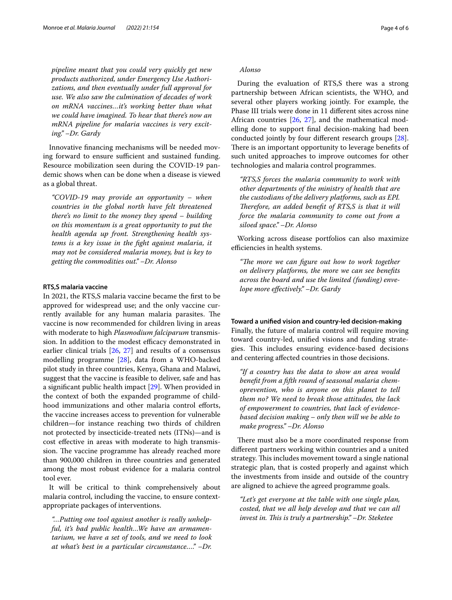*pipeline meant that you could very quickly get new products authorized, under Emergency Use Authorizations, and then eventually under full approval for use. We also saw the culmination of decades of work on mRNA vaccines…it's working better than what we could have imagined. To hear that there's now an mRNA pipeline for malaria vaccines is very exciting." –Dr. Gardy*

Innovative fnancing mechanisms will be needed moving forward to ensure sufficient and sustained funding. Resource mobilization seen during the COVID-19 pandemic shows when can be done when a disease is viewed as a global threat.

*"COVID-19 may provide an opportunity – when countries in the global north have felt threatened there's no limit to the money they spend – building on this momentum is a great opportunity to put the health agenda up front. Strengthening health systems is a key issue in the fght against malaria, it may not be considered malaria money, but is key to getting the commodities out." –Dr. Alonso*

# **RTS,S malaria vaccine**

In 2021, the RTS,S malaria vaccine became the frst to be approved for widespread use; and the only vaccine currently available for any human malaria parasites. The vaccine is now recommended for children living in areas with moderate to high *Plasmodium falciparum* transmission. In addition to the modest efficacy demonstrated in earlier clinical trials [[26,](#page-4-23) [27](#page-4-24)] and results of a consensus modelling programme [[28\]](#page-4-25), data from a WHO-backed pilot study in three countries, Kenya, Ghana and Malawi, suggest that the vaccine is feasible to deliver, safe and has a signifcant public health impact [\[29\]](#page-5-0). When provided in the context of both the expanded programme of childhood immunizations and other malaria control efforts, the vaccine increases access to prevention for vulnerable children—for instance reaching two thirds of children not protected by insecticide-treated nets (ITNs)—and is cost efective in areas with moderate to high transmission. The vaccine programme has already reached more than 900,000 children in three countries and generated among the most robust evidence for a malaria control tool ever.

It will be critical to think comprehensively about malaria control, including the vaccine, to ensure contextappropriate packages of interventions.

*"…Putting one tool against another is really unhelpful, it's bad public health…We have an armamentarium, we have a set of tools, and we need to look at what's best in a particular circumstance…." –Dr.* 

# *Alonso*

During the evaluation of RTS, Sthere was a strong partnership between African scientists, the WHO, and several other players working jointly. For example, the Phase III trials were done in 11 diferent sites across nine African countries [\[26,](#page-4-23) [27\]](#page-4-24), and the mathematical modelling done to support fnal decision-making had been conducted jointly by four diferent research groups [\[28](#page-4-25)]. There is an important opportunity to leverage benefits of such united approaches to improve outcomes for other technologies and malaria control programmes.

*"RTS,S forces the malaria community to work with other departments of the ministry of health that are the custodians of the delivery platforms, such as EPI. Therefore, an added benefit of RTS,S is that it will force the malaria community to come out from a siloed space." –Dr. Alonso*

Working across disease portfolios can also maximize efficiencies in health systems.

*"The more we can figure out how to work together on delivery platforms, the more we can see benefts across the board and use the limited (funding) envelope more efectively." –Dr. Gardy*

#### **Toward a unifed vision and country‑led decision‑making**

Finally, the future of malaria control will require moving toward country-led, unifed visions and funding strategies. This includes ensuring evidence-based decisions and centering afected countries in those decisions.

*"If a country has the data to show an area would beneft from a ffth round of seasonal malaria chemoprevention, who is anyone on this planet to tell them no? We need to break those attitudes, the lack of empowerment to countries, that lack of evidencebased decision making – only then will we be able to make progress." –Dr. Alonso*

There must also be a more coordinated response from diferent partners working within countries and a united strategy. This includes movement toward a single national strategic plan, that is costed properly and against which the investments from inside and outside of the country are aligned to achieve the agreed programme goals.

*"Let's get everyone at the table with one single plan, costed, that we all help develop and that we can all invest in. Tis is truly a partnership." –Dr. Steketee*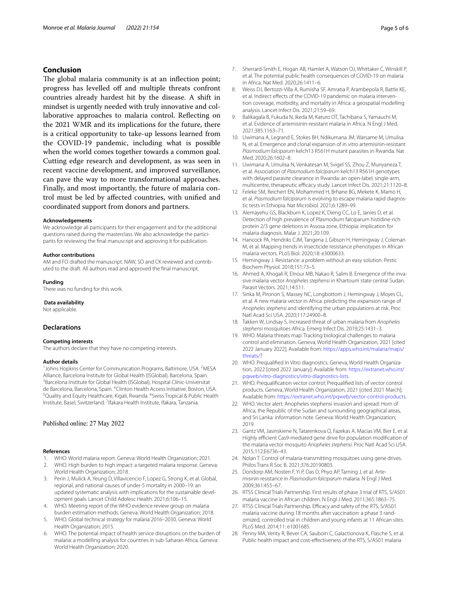# **Conclusion**

The global malaria community is at an inflection point; progress has levelled off and multiple threats confront countries already hardest hit by the disease. A shift in mindset is urgently needed with truly innovative and collaborative approaches to malaria control. Refecting on the 2021 WMR and its implications for the future, there is a critical opportunity to take-up lessons learned from the COVID-19 pandemic, including what is possible when the world comes together towards a common goal. Cutting edge research and development, as was seen in recent vaccine development, and improved surveillance, can pave the way to more transformational approaches. Finally, and most importantly, the future of malaria control must be led by afected countries, with unifed and coordinated support from donors and partners.

#### **Acknowledgements**

We acknowledge all participants for their engagement and for the additional questions raised during the masterclass. We also acknowledge the participants for reviewing the fnal manuscript and approving it for publication.

#### **Author contributions**

AM and FO drafted the manuscript. NAW, SO and CK reviewed and contributed to the draft. All authors read and approved the fnal manuscript.

#### **Funding**

There was no funding for this work.

#### **Data availability**

Not applicable.

# **Declarations**

#### **Competing interests**

The authors declare that they have no competing interests.

#### **Author details**

<sup>1</sup> Johns Hopkins Center for Communication Programs, Baltimore, USA. <sup>2</sup>MESA Alliance, Barcelona Institute for Global Health (ISGlobal), Barcelona, Spain. 3 <sup>3</sup> Barcelona Institute for Global Health (ISGlobal), Hospital Clínic-Universitat de Barcelona, Barcelona, Spain. <sup>4</sup> Clinton Health Access Initiative, Boston, USA.<br><sup>5</sup> Quality and Equity Healthcare, Kigali, Rwanda, <sup>6</sup>Swiss Tropical & Rublic Health Quality and Equity Healthcare, Kigali, Rwanda. <sup>6</sup>Swiss Tropical & Public Health Institute, Basel, Switzerland. <sup>7</sup>lfakara Health Institute, Ifakara, Tanzania.

#### Published online: 27 May 2022

#### **References**

- <span id="page-4-0"></span>1. WHO. World malaria report. Geneva: World Health Organization; 2021.
- <span id="page-4-1"></span>2. WHO. High burden to high impact: a targeted malaria response. Geneva: World Health Organization; 2018.
- <span id="page-4-2"></span>3. Perin J, Mulick A, Yeung D, Villavicencio F, Lopez G, Strong K, et al. Global, regional, and national causes of under-5 mortality in 2000–19: an updated systematic analysis with implications for the sustainable development goals. Lancet Child Adolesc Health. 2021;6:106–15.
- <span id="page-4-3"></span>4. WHO. Meeting report of the WHO evidence review group on malaria burden estimation methods. Geneva: World Health Organization; 2018.
- <span id="page-4-4"></span>5. WHO. Global technical strategy for malaria 2016–2030. Geneva: World Health Organization; 2015.
- <span id="page-4-5"></span>6. WHO. The potential impact of health service disruptions on the burden of malaria: a modelling analysis for countries in sub-Saharan Africa. Geneva: World Health Organization; 2020.
- 7. Sherrard-Smith E, Hogan AB, Hamlet A, Watson OJ, Whittaker C, Winskill P, et al. The potential public health consequences of COVID-19 on malaria in Africa. Nat Med. 2020;26:1411–6.
- <span id="page-4-6"></span>8. Weiss DJ, Bertozzi-Villa A, Rumisha SF, Amratia P, Arambepola R, Battle KE, et al. Indirect effects of the COVID-19 pandemic on malaria intervention coverage, morbidity, and mortality in Africa: a geospatial modelling analysis. Lancet Infect Dis. 2021;21:59–69.
- <span id="page-4-7"></span>9. Balikagala B, Fukuda N, Ikeda M, Katuro OT, Tachibana S, Yamauchi M, et al. Evidence of artemisinin-resistant malaria in Africa. N Engl J Med. 2021;385:1163–71.
- <span id="page-4-21"></span>10. Uwimana A, Legrand E, Stokes BH, Ndikumana JM, Warsame M, Umulisa N, et al. Emergence and clonal expansion of in vitro artemisinin-resistant *Plasmodium falciparum* kelch13 R561H mutant parasites in Rwanda. Nat Med. 2020;26:1602–8.
- <span id="page-4-8"></span>11. Uwimana A, Umulisa N, Venkatesan M, Svigel SS, Zhou Z, Munyaneza T, et al. Association of *Plasmodium falciparum* kelch13 R561H genotypes with delayed parasite clearance in Rwanda: an open-label, single-arm, multicentre, therapeutic efficacy study. Lancet Infect Dis. 2021;21:1120-8.
- <span id="page-4-9"></span>12. Feleke SM, Reichert EN, Mohammed H, Brhane BG, Mekete K, Mamo H, et al. *Plasmodium falciparum* is evolving to escape malaria rapid diagnostic tests in Ethiopia. Nat Microbiol. 2021;6:1289–99.
- <span id="page-4-10"></span>13. Alemayehu GS, Blackburn K, Lopez K, Dieng CC, Lo E, Janies D, et al. Detection of high prevalence of Plasmodium falciparum histidine-rich protein 2/3 gene deletions in Assosa zone, Ethiopia: implication for malaria diagnosis. Malar J. 2021;20:109.
- <span id="page-4-11"></span>14. Hancock PA, Hendriks CJM, Tangena J, Gibson H, Hemingway J, Coleman M, et al. Mapping trends in insecticide resistance phenotypes in African malaria vectors. PLoS Biol. 2020;18: e3000633.
- <span id="page-4-12"></span>15. Hemingway J. Resistance: a problem without an easy solution. Pestic Biochem Physiol. 2018;151:73–5.
- <span id="page-4-13"></span>16. Ahmed A, Khogali R, Elnour MB, Nakao R, Salim B. Emergence of the invasive malaria vector *Anopheles stephensi* in Khartoum state central Sudan. Parasit Vectors. 2021;14:511.
- 17. Sinka M, Pironon S, Massey NC, Longbottom J, Hemingway J, Moyes CL, et al. A new malaria vector in Africa: predicting the expansion range of *Anopheles stephensi* and identifying the urban populations at risk. Proc Natl Acad Sci USA. 2020;117:24900–8.
- <span id="page-4-14"></span>18. Takken W, Lindsay S. Increased threat of urban malaria from *Anopheles stephensi* mosquitoes Africa. Emerg Infect Dis. 2019;25:1431–3.
- <span id="page-4-15"></span>19. WHO. Malaria threats map: Tracking biological challenges to malaria control and elimination. Geneva, World Health Organization, 2021 [cited 2022 January 2022]; Available from: [https://apps.who.int/malaria/maps/](https://apps.who.int/malaria/maps/threats/) [threats/?](https://apps.who.int/malaria/maps/threats/)
- <span id="page-4-16"></span>20. WHO. Prequalifed In Vitro diagnostics. Geneva, World Health Organization, 2022 [cited 2022 January]; Available from: [https://extranet.who.int/](https://extranet.who.int/pqweb/vitro-diagnostics/vitro-diagnostics-lists) [pqweb/vitro-diagnostics/vitro-diagnostics-lists](https://extranet.who.int/pqweb/vitro-diagnostics/vitro-diagnostics-lists).
- <span id="page-4-17"></span>21. WHO. Prequalifcation vector control: Prequalifed lists of vector control products. Geneva, World Health Organization, 2021 [cited 2021 March]; Available from: [https://extranet.who.int/pqweb/vector-control-products.](https://extranet.who.int/pqweb/vector-control-products)
- <span id="page-4-18"></span>22. WHO. Vector alert: Anopheles stephensi invasion and spread: Horn of Africa, the Republic of the Sudan and surrounding geographical areas, and Sri Lanka: information note. Geneva: World Health Organization; 2019.
- <span id="page-4-19"></span>23. Gantz VM, Jasinskiene N, Tatarenkova O, Fazekas A, Macias VM, Bier E, et al. Highly efficient Cas9-mediated gene drive for population modification of the malaria vector mosquito *Anopheles stephensi*. Proc Natl Acad Sci USA. 2015;112:E6736–43.
- <span id="page-4-20"></span>24. Nolan T. Control of malaria-transmitting mosquitoes using gene drives. Philos Trans R Soc B. 2021;376:20190803.
- <span id="page-4-22"></span>25. Dondorp AM, Nosten F, Yi P, Das D, Phyo AP, Tarning J, et al. Artemisinin resistance in *Plasmodium falciparum* malaria. N Engl J Med. 2009;361:455–67.
- <span id="page-4-23"></span>26. RTSS Clinical Trials Partnership. First results of phase 3 trial of RTS, S/AS01 malaria vaccine in African children. N Engl J Med. 2011;365:1863–75.
- <span id="page-4-24"></span>27. RTSS Clinical Trials Partnership. Efficacy and safety of the RTS, S/AS01 malaria vaccine during 18 months after vaccination: a phase 3 randomized, controlled trial in children and young infants at 11 African sites. PLoS Med. 2014;11: e1001685.
- <span id="page-4-25"></span>28. Penny MA, Verity R, Bever CA, Sauboin C, Galactionova K, Flasche S, et al. Public health impact and cost-efectiveness of the RTS, S/AS01 malaria